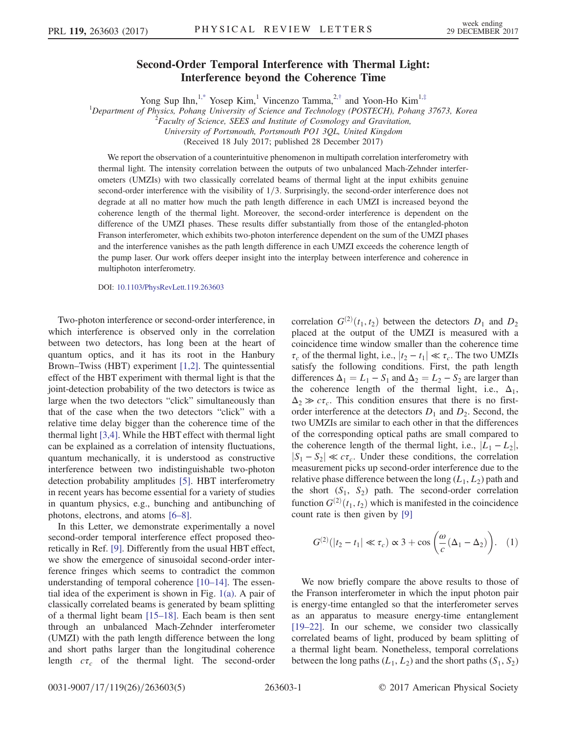## Second-Order Temporal Interference with Thermal Light: Interference beyond the Coherence Time

Yong Sup Ihn,<sup>[1,\\*](#page-4-0)</sup> Yosep Kim,<sup>1</sup> Vincenzo Tamma,<sup>2,[†](#page-4-1)</sup> and Yoon-Ho Kim<sup>1,[‡](#page-4-2)</sup>

<span id="page-0-1"></span><sup>1</sup>Department of Physics, Pohang University of Science and Technology (POSTECH), Pohang 37673, Korea

 $2^2$ Faculty of Science, SEES and Institute of Cosmology and Gravitation,

University of Portsmouth, Portsmouth PO1 3QL, United Kingdom

(Received 18 July 2017; published 28 December 2017)

We report the observation of a counterintuitive phenomenon in multipath correlation interferometry with thermal light. The intensity correlation between the outputs of two unbalanced Mach-Zehnder interferometers (UMZIs) with two classically correlated beams of thermal light at the input exhibits genuine second-order interference with the visibility of  $1/3$ . Surprisingly, the second-order interference does not degrade at all no matter how much the path length difference in each UMZI is increased beyond the coherence length of the thermal light. Moreover, the second-order interference is dependent on the difference of the UMZI phases. These results differ substantially from those of the entangled-photon Franson interferometer, which exhibits two-photon interference dependent on the sum of the UMZI phases and the interference vanishes as the path length difference in each UMZI exceeds the coherence length of the pump laser. Our work offers deeper insight into the interplay between interference and coherence in multiphoton interferometry.

DOI: [10.1103/PhysRevLett.119.263603](https://doi.org/10.1103/PhysRevLett.119.263603)

Two-photon interference or second-order interference, in which interference is observed only in the correlation between two detectors, has long been at the heart of quantum optics, and it has its root in the Hanbury Brown–Twiss (HBT) experiment [\[1,2\]](#page-4-3). The quintessential effect of the HBT experiment with thermal light is that the joint-detection probability of the two detectors is twice as large when the two detectors "click" simultaneously than that of the case when the two detectors "click" with a relative time delay bigger than the coherence time of the thermal light [\[3,4\]](#page-4-4). While the HBT effect with thermal light can be explained as a correlation of intensity fluctuations, quantum mechanically, it is understood as constructive interference between two indistinguishable two-photon detection probability amplitudes [\[5\].](#page-4-5) HBT interferometry in recent years has become essential for a variety of studies in quantum physics, e.g., bunching and antibunching of photons, electrons, and atoms [6–[8\].](#page-4-6)

In this Letter, we demonstrate experimentally a novel second-order temporal interference effect proposed theoretically in Ref. [\[9\].](#page-4-7) Differently from the usual HBT effect, we show the emergence of sinusoidal second-order interference fringes which seems to contradict the common understanding of temporal coherence [\[10](#page-4-8)–14]. The essential idea of the experiment is shown in Fig. [1\(a\).](#page-1-0) A pair of classically correlated beams is generated by beam splitting of a thermal light beam [\[15](#page-4-9)–18]. Each beam is then sent through an unbalanced Mach-Zehnder interferometer (UMZI) with the path length difference between the long and short paths larger than the longitudinal coherence length  $c\tau_c$  of the thermal light. The second-order

correlation  $G^{(2)}(t_1, t_2)$  between the detectors  $D_1$  and  $D_2$ <br>placed at the output of the UMZU is measured with a placed at the output of the UMZI is measured with a coincidence time window smaller than the coherence time  $\tau_c$  of the thermal light, i.e.,  $|t_2 - t_1| \ll \tau_c$ . The two UMZIs<br>satisfy the following conditions. First, the path length satisfy the following conditions. First, the path length differences  $\Delta_1 = L_1 - S_1$  and  $\Delta_2 = L_2 - S_2$  are larger than the coherence length of the thermal light, i.e.,  $\Delta_1$ ,  $\Delta_2 \gg c\tau_c$ . This condition ensures that there is no firstorder interference at the detectors  $D_1$  and  $D_2$ . Second, the two UMZIs are similar to each other in that the differences of the corresponding optical paths are small compared to the coherence length of the thermal light, i.e.,  $|L_1 - L_2|$ ,  $|S_1 - S_2| \ll c\tau_c$ . Under these conditions, the correlation measurement picks up second-order interference due to the relative phase difference between the long  $(L_1, L_2)$  path and the short  $(S_1, S_2)$  path. The second-order correlation function  $G^{(2)}(t_1, t_2)$  which is manifested in the coincidence<br>count rate is then given by [9] count rate is then given by [\[9\]](#page-4-7)

<span id="page-0-0"></span>
$$
G^{(2)}(|t_2 - t_1| \ll \tau_c) \propto 3 + \cos\left(\frac{\omega}{c}(\Delta_1 - \Delta_2)\right). \quad (1)
$$

We now briefly compare the above results to those of the Franson interferometer in which the input photon pair is energy-time entangled so that the interferometer serves as an apparatus to measure energy-time entanglement [\[19](#page-4-10)–22]. In our scheme, we consider two classically correlated beams of light, produced by beam splitting of a thermal light beam. Nonetheless, temporal correlations between the long paths  $(L_1, L_2)$  and the short paths  $(S_1, S_2)$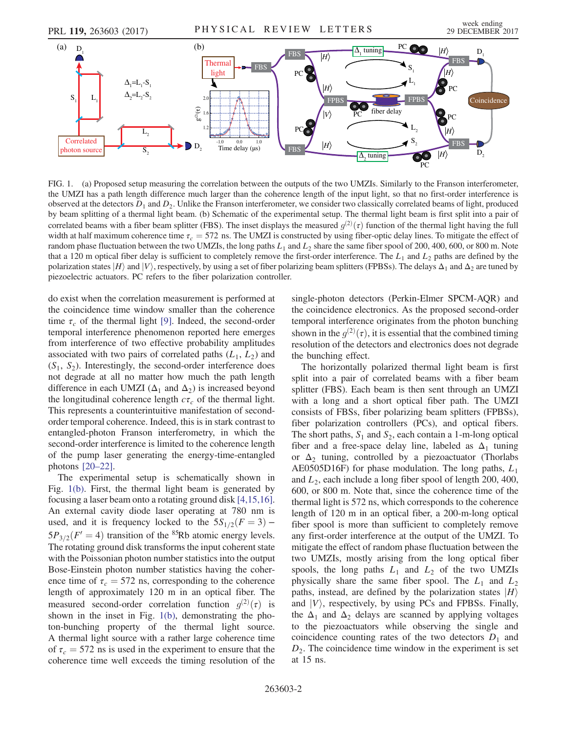FBS

*H*

FIG. 1. (a) Proposed setup measuring the correlation between the outputs of the two UMZIs. Similarly to the Franson interferometer, the UMZI has a path length difference much larger than the coherence length of the input light, so that no first-order interference is observed at the detectors  $D_1$  and  $D_2$ . Unlike the Franson interferometer, we consider two classically correlated beams of light, produced by beam splitting of a thermal light beam. (b) Schematic of the experimental setup. The thermal light beam is first split into a pair of correlated beams with a fiber beam splitter (FBS). The inset displays the measured  $g^{(2)}(\tau)$  function of the thermal light having the full width at half maximum coherence time  $\tau = 572$  ns. The UMZI is constructed by usi width at half maximum coherence time  $\tau_c = 572$  ns. The UMZI is constructed by using fiber-optic delay lines. To mitigate the effect of random phase fluctuation between the two UMZIs, the long paths  $L_1$  and  $L_2$  share the same fiber spool of 200, 400, 600, or 800 m. Note that a 120 m optical fiber delay is sufficient to completely remove the first-order interference. The  $L_1$  and  $L_2$  paths are defined by the polarization states  $|H\rangle$  and  $|V\rangle$ , respectively, by using a set of fiber polarizing beam splitters (FPBSs). The delays  $\Delta_1$  and  $\Delta_2$  are tuned by piezoelectric actuators. PC refers to the fiber polarization controller.

do exist when the correlation measurement is performed at the coincidence time window smaller than the coherence time  $\tau_c$  of the thermal light [\[9\]](#page-4-7). Indeed, the second-order temporal interference phenomenon reported here emerges from interference of two effective probability amplitudes associated with two pairs of correlated paths  $(L_1, L_2)$  and  $(S_1, S_2)$ . Interestingly, the second-order interference does not degrade at all no matter how much the path length difference in each UMZI ( $\Delta_1$  and  $\Delta_2$ ) is increased beyond the longitudinal coherence length  $c\tau_c$  of the thermal light. This represents a counterintuitive manifestation of secondorder temporal coherence. Indeed, this is in stark contrast to entangled-photon Franson interferometry, in which the second-order interference is limited to the coherence length of the pump laser generating the energy-time-entangled photons [20–[22\].](#page-4-11)

 $\overline{S_2}$ 

<span id="page-1-0"></span>Correlated photon source

 $D<sub>2</sub>$ 

-1.0 0.0 1.0 Time delay (μs) Time delay (µs)

The experimental setup is schematically shown in Fig. [1\(b\).](#page-1-0) First, the thermal light beam is generated by focusing a laser beam onto a rotating ground disk [\[4,15,16\]](#page-4-12). An external cavity diode laser operating at 780 nm is used, and it is frequency locked to the  $5S_{1/2}(F = 3)$  –  $5P_{3/2}(F'=4)$  transition of the <sup>85</sup>Rb atomic energy levels. The rotating ground disk transforms the input coherent state with the Poissonian photon number statistics into the output Bose-Einstein photon number statistics having the coherence time of  $\tau_c = 572$  ns, corresponding to the coherence length of approximately 120 m in an optical fiber. The measured second-order correlation function  $g^{(2)}(\tau)$  is<br>shown in the inset in Fig. 1(b) demonstrating the phoshown in the inset in Fig. [1\(b\)](#page-1-0), demonstrating the photon-bunching property of the thermal light source. A thermal light source with a rather large coherence time of  $\tau_c = 572$  ns is used in the experiment to ensure that the coherence time well exceeds the timing resolution of the single-photon detectors (Perkin-Elmer SPCM-AQR) and the coincidence electronics. As the proposed second-order temporal interference originates from the photon bunching shown in the  $g^{(2)}(\tau)$ , it is essential that the combined timing<br>resolution of the detectors and electronics does not degrade resolution of the detectors and electronics does not degrade the bunching effect.

 $\bullet_{\mathrm{PC}}^{\bullet}$ 

 $S<sub>2</sub>$ 

FBS

 $\ket{H}$ 

 $D<sub>2</sub>$ 

 $\Delta$ <sub>2</sub> tuning

The horizontally polarized thermal light beam is first split into a pair of correlated beams with a fiber beam splitter (FBS). Each beam is then sent through an UMZI with a long and a short optical fiber path. The UMZI consists of FBSs, fiber polarizing beam splitters (FPBSs), fiber polarization controllers (PCs), and optical fibers. The short paths,  $S_1$  and  $S_2$ , each contain a 1-m-long optical fiber and a free-space delay line, labeled as  $\Delta_1$  tuning or  $\Delta_2$  tuning, controlled by a piezoactuator (Thorlabs AE0505D16F) for phase modulation. The long paths,  $L_1$ and  $L_2$ , each include a long fiber spool of length 200, 400, 600, or 800 m. Note that, since the coherence time of the thermal light is 572 ns, which corresponds to the coherence length of 120 m in an optical fiber, a 200-m-long optical fiber spool is more than sufficient to completely remove any first-order interference at the output of the UMZI. To mitigate the effect of random phase fluctuation between the two UMZIs, mostly arising from the long optical fiber spools, the long paths  $L_1$  and  $L_2$  of the two UMZIs physically share the same fiber spool. The  $L_1$  and  $L_2$ paths, instead, are defined by the polarization states  $|H\rangle$ and  $|V\rangle$ , respectively, by using PCs and FPBSs. Finally, the  $\Delta_1$  and  $\Delta_2$  delays are scanned by applying voltages to the piezoactuators while observing the single and coincidence counting rates of the two detectors  $D_1$  and  $D_2$ . The coincidence time window in the experiment is set at 15 ns.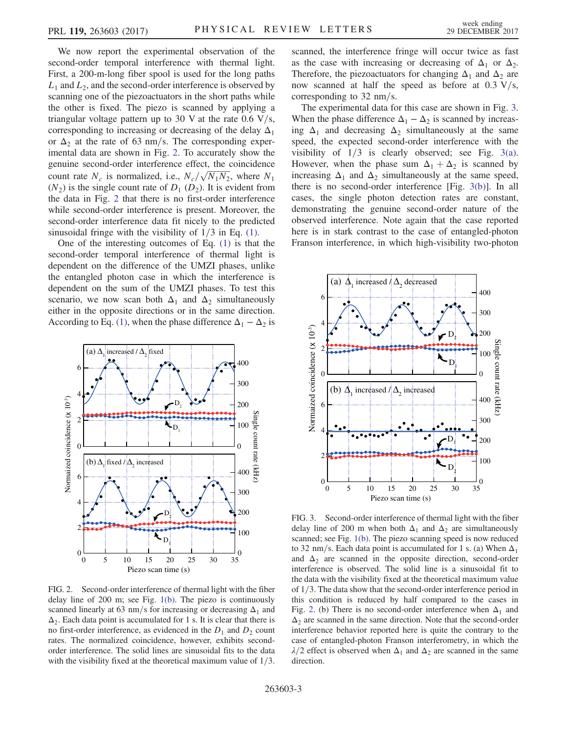We now report the experimental observation of the second-order temporal interference with thermal light. First, a 200-m-long fiber spool is used for the long paths  $L_1$  and  $L_2$ , and the second-order interference is observed by scanning one of the piezoactuators in the short paths while the other is fixed. The piezo is scanned by applying a triangular voltage pattern up to 30 V at the rate  $0.6 \text{ V/s}$ , corresponding to increasing or decreasing of the delay  $\Delta_1$ or  $\Delta_2$  at the rate of 63 nm/s. The corresponding experimental data are shown in Fig. [2.](#page-2-0) To accurately show the genuine second-order interference effect, the coincidence count rate  $N_c$  is normalized, i.e.,  $N_c/\sqrt{N_1N_2}$ , where  $N_1$ <br>( $N_2$ ) is the single count rate of D, (D<sub>2</sub>). It is evident from COUNT THE  $N_c$  is normalized, i.e.,  $N_c/\sqrt{N_1N_2}$ , where  $N_1$ <br>( $N_2$ ) is the single count rate of  $D_1$  ( $D_2$ ). It is evident from<br>the data in Fig. 2 that there is no first-order interference the data in Fig. [2](#page-2-0) that there is no first-order interference while second-order interference is present. Moreover, the second-order interference data fit nicely to the predicted sinusoidal fringe with the visibility of  $1/3$  in Eq. [\(1\).](#page-0-0)

One of the interesting outcomes of Eq. [\(1\)](#page-0-0) is that the second-order temporal interference of thermal light is dependent on the difference of the UMZI phases, unlike the entangled photon case in which the interference is dependent on the sum of the UMZI phases. To test this scenario, we now scan both  $\Delta_1$  and  $\Delta_2$  simultaneously either in the opposite directions or in the same direction. According to Eq. [\(1\)](#page-0-0), when the phase difference  $\Delta_1 - \Delta_2$  is

<span id="page-2-0"></span>

FIG. 2. Second-order interference of thermal light with the fiber delay line of 200 m; see Fig. [1\(b\).](#page-1-0) The piezo is continuously scanned linearly at 63 nm/s for increasing or decreasing  $\Delta_1$  and  $\Delta_2$ . Each data point is accumulated for 1 s. It is clear that there is no first-order interference, as evidenced in the  $D_1$  and  $D_2$  count rates. The normalized coincidence, however, exhibits secondorder interference. The solid lines are sinusoidal fits to the data with the visibility fixed at the theoretical maximum value of  $1/3$ .

scanned, the interference fringe will occur twice as fast as the case with increasing or decreasing of  $\Delta_1$  or  $\Delta_2$ . Therefore, the piezoactuators for changing  $\Delta_1$  and  $\Delta_2$  are now scanned at half the speed as before at  $0.3 \text{ V/s}$ , corresponding to  $32$  nm/s.

The experimental data for this case are shown in Fig. [3](#page-2-1). When the phase difference  $\Delta_1 - \Delta_2$  is scanned by increasing  $\Delta_1$  and decreasing  $\Delta_2$  simultaneously at the same speed, the expected second-order interference with the visibility of  $1/3$  is clearly observed; see Fig. [3\(a\)](#page-2-1). However, when the phase sum  $\Delta_1 + \Delta_2$  is scanned by increasing  $\Delta_1$  and  $\Delta_2$  simultaneously at the same speed, there is no second-order interference [Fig. [3\(b\)\]](#page-2-1). In all cases, the single photon detection rates are constant, demonstrating the genuine second-order nature of the observed interference. Note again that the case reported here is in stark contrast to the case of entangled-photon Franson interference, in which high-visibility two-photon

<span id="page-2-1"></span>

FIG. 3. Second-order interference of thermal light with the fiber delay line of 200 m when both  $\Delta_1$  and  $\Delta_2$  are simultaneously scanned; see Fig. [1\(b\)](#page-1-0). The piezo scanning speed is now reduced to 32 nm/s. Each data point is accumulated for 1 s. (a) When  $\Delta_1$ and  $\Delta_2$  are scanned in the opposite direction, second-order interference is observed. The solid line is a sinusoidal fit to the data with the visibility fixed at the theoretical maximum value of  $1/3$ . The data show that the second-order interference period in this condition is reduced by half compared to the cases in Fig. [2](#page-2-0). (b) There is no second-order interference when  $\Delta_1$  and  $\Delta_2$  are scanned in the same direction. Note that the second-order interference behavior reported here is quite the contrary to the case of entangled-photon Franson interferometry, in which the  $\lambda/2$  effect is observed when  $\Delta_1$  and  $\Delta_2$  are scanned in the same direction.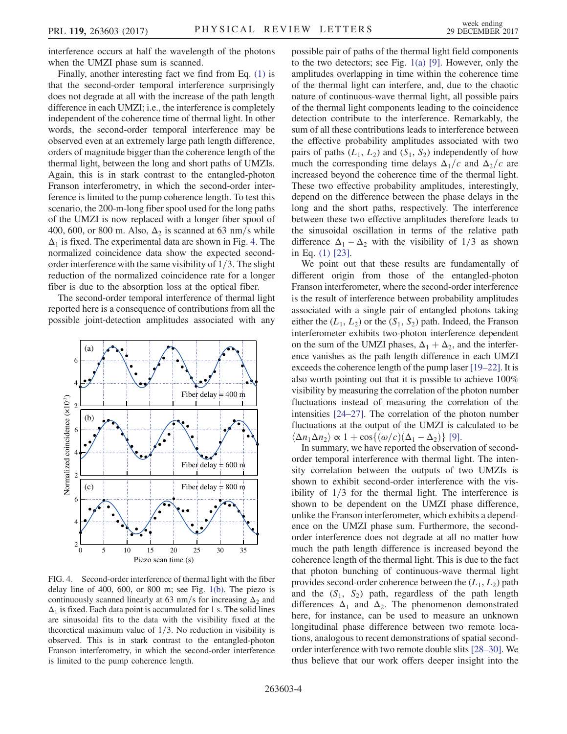interference occurs at half the wavelength of the photons when the UMZI phase sum is scanned.

Finally, another interesting fact we find from Eq. [\(1\)](#page-0-0) is that the second-order temporal interference surprisingly does not degrade at all with the increase of the path length difference in each UMZI; i.e., the interference is completely independent of the coherence time of thermal light. In other words, the second-order temporal interference may be observed even at an extremely large path length difference, orders of magnitude bigger than the coherence length of the thermal light, between the long and short paths of UMZIs. Again, this is in stark contrast to the entangled-photon Franson interferometry, in which the second-order interference is limited to the pump coherence length. To test this scenario, the 200-m-long fiber spool used for the long paths of the UMZI is now replaced with a longer fiber spool of 400, 600, or 800 m. Also,  $\Delta_2$  is scanned at 63 nm/s while  $\Delta_1$  is fixed. The experimental data are shown in Fig. [4.](#page-3-0) The normalized coincidence data show the expected secondorder interference with the same visibility of  $1/3$ . The slight reduction of the normalized coincidence rate for a longer fiber is due to the absorption loss at the optical fiber.

The second-order temporal interference of thermal light reported here is a consequence of contributions from all the possible joint-detection amplitudes associated with any

<span id="page-3-0"></span>

FIG. 4. Second-order interference of thermal light with the fiber delay line of 400, 600, or 800 m; see Fig. [1\(b\).](#page-1-0) The piezo is continuously scanned linearly at 63 nm/s for increasing  $\Delta_2$  and  $\Delta_1$  is fixed. Each data point is accumulated for 1 s. The solid lines are sinusoidal fits to the data with the visibility fixed at the theoretical maximum value of  $1/3$ . No reduction in visibility is observed. This is in stark contrast to the entangled-photon Franson interferometry, in which the second-order interference is limited to the pump coherence length.

possible pair of paths of the thermal light field components to the two detectors; see Fig. [1\(a\)](#page-1-0) [\[9\]](#page-4-7). However, only the amplitudes overlapping in time within the coherence time of the thermal light can interfere, and, due to the chaotic nature of continuous-wave thermal light, all possible pairs of the thermal light components leading to the coincidence detection contribute to the interference. Remarkably, the sum of all these contributions leads to interference between the effective probability amplitudes associated with two pairs of paths  $(L_1, L_2)$  and  $(S_1, S_2)$  independently of how much the corresponding time delays  $\Delta_1/c$  and  $\Delta_2/c$  are increased beyond the coherence time of the thermal light. These two effective probability amplitudes, interestingly, depend on the difference between the phase delays in the long and the short paths, respectively. The interference between these two effective amplitudes therefore leads to the sinusoidal oscillation in terms of the relative path difference  $\Delta_1 - \Delta_2$  with the visibility of 1/3 as shown in Eq. [\(1\)](#page-0-0) [\[23\].](#page-4-13)

We point out that these results are fundamentally of different origin from those of the entangled-photon Franson interferometer, where the second-order interference is the result of interference between probability amplitudes associated with a single pair of entangled photons taking either the  $(L_1, L_2)$  or the  $(S_1, S_2)$  path. Indeed, the Franson interferometer exhibits two-photon interference dependent on the sum of the UMZI phases,  $\Delta_1 + \Delta_2$ , and the interference vanishes as the path length difference in each UMZI exceeds the coherence length of the pump laser [\[19](#page-4-10)–22]. It is also worth pointing out that it is possible to achieve 100% visibility by measuring the correlation of the photon number fluctuations instead of measuring the correlation of the intensities [24–[27\].](#page-4-14) The correlation of the photon number fluctuations at the output of the UMZI is calculated to be  $\langle \Delta n_1 \Delta n_2 \rangle \propto 1 + \cos\{(\omega/c)(\Delta_1 - \Delta_2)\}\$ [\[9\].](#page-4-7)

In summary, we have reported the observation of secondorder temporal interference with thermal light. The intensity correlation between the outputs of two UMZIs is shown to exhibit second-order interference with the visibility of  $1/3$  for the thermal light. The interference is shown to be dependent on the UMZI phase difference, unlike the Franson interferometer, which exhibits a dependence on the UMZI phase sum. Furthermore, the secondorder interference does not degrade at all no matter how much the path length difference is increased beyond the coherence length of the thermal light. This is due to the fact that photon bunching of continuous-wave thermal light provides second-order coherence between the  $(L_1, L_2)$  path and the  $(S_1, S_2)$  path, regardless of the path length differences  $\Delta_1$  and  $\Delta_2$ . The phenomenon demonstrated here, for instance, can be used to measure an unknown longitudinal phase difference between two remote locations, analogous to recent demonstrations of spatial secondorder interference with two remote double slits [28–[30\].](#page-4-15) We thus believe that our work offers deeper insight into the